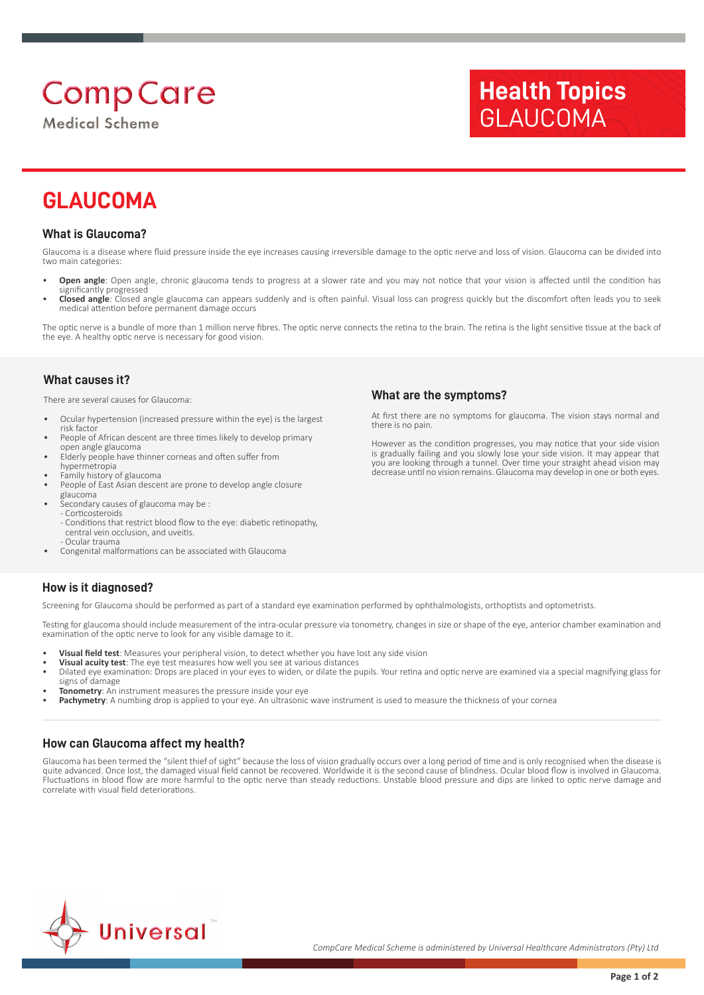# **Comp Care**

**Medical Scheme** 

# **Health Topics** GLAUCOMA

# **GLAUCOMA**

### **What is Glaucoma?**

Glaucoma is a disease where fluid pressure inside the eye increases causing irreversible damage to the optic nerve and loss of vision. Glaucoma can be divided into two main categories:

- **Open angle**: Open angle, chronic glaucoma tends to progress at a slower rate and you may not notice that your vision is affected until the condition has significantly progressed
- **Closed angle**: Closed angle glaucoma can appears suddenly and is often painful. Visual loss can progress quickly but the discomfort often leads you to seek medical attention before permanent damage occurs

The optic nerve is a bundle of more than 1 million nerve fibres. The optic nerve connects the retina to the brain. The retina is the light sensitive tissue at the back of the eye. A healthy optic nerve is necessary for good vision.

#### **What causes it?**

There are several causes for Glaucoma:

- Ocular hypertension (increased pressure within the eye) is the largest risk factor
- People of African descent are three times likely to develop primary open angle glaucoma
- Elderly people have thinner corneas and often suffer from
- hypermetropia
- Family history of glaucoma
- People of East Asian descent are prone to develop angle closure
- glaucoma
- Secondary causes of glaucoma may be : - Corticosteroids
	- Conditions that restrict blood flow to the eye: diabetic retinopathy, central vein occlusion, and uveitis. - Ocular trauma
- Congenital malformations can be associated with Glaucoma

#### **What are the symptoms?**

At first there are no symptoms for glaucoma. The vision stays normal and there is no pain.

However as the condition progresses, you may notice that your side vision is gradually failing and you slowly lose your side vision. It may appear that you are looking through a tunnel. Over time your straight ahead vision may decrease until no vision remains. Glaucoma may develop in one or both eyes.

### **How is it diagnosed?**

Screening for Glaucoma should be performed as part of a standard eye examination performed by ophthalmologists, orthoptists and optometrists.

Testing for glaucoma should include measurement of the intra-ocular pressure via tonometry, changes in size or shape of the eye, anterior chamber examination and examination of the optic nerve to look for any visible damage to it.

- **Visual field test**: Measures your peripheral vision, to detect whether you have lost any side vision
- **Visual acuity test**: The eye test measures how well you see at various distances
- Dilated eye examination: Drops are placed in your eyes to widen, or dilate the pupils. Your retina and optic nerve are examined via a special magnifying glass for signs of damage
- **Tonometry:** An instrument measures the pressure inside your ever
- Pachymetry: A numbing drop is applied to your eye. An ultrasonic wave instrument is used to measure the thickness of your cornea

### **How can Glaucoma affect my health?**

Glaucoma has been termed the "silent thief of sight" because the loss of vision gradually occurs over a long period of time and is only recognised when the disease is quite advanced. Once lost, the damaged visual field cannot be recovered. Worldwide it is the second cause of blindness. Ocular blood flow is involved in Glaucoma. Fluctuations in blood flow are more harmful to the optic nerve than steady reductions. Unstable blood pressure and dips are linked to optic nerve damage and correlate with visual field deteriorations.